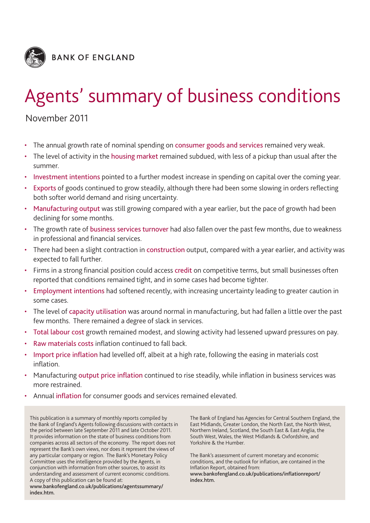

# Agents' summary of business conditions

## November 2011

- The annual growth rate of nominal spending on consumer goods and services remained very weak.
- The level of activity in the housing market remained subdued, with less of a pickup than usual after the summer.
- Investment intentions pointed to a further modest increase in spending on capital over the coming year.
- Exports of goods continued to grow steadily, although there had been some slowing in orders reflecting both softer world demand and rising uncertainty.
- Manufacturing output was still growing compared with a year earlier, but the pace of growth had been declining for some months.
- The growth rate of business services turnover had also fallen over the past few months, due to weakness in professional and financial services.
- There had been a slight contraction in construction output, compared with a year earlier, and activity was expected to fall further.
- Firms in a strong financial position could access credit on competitive terms, but small businesses often reported that conditions remained tight, and in some cases had become tighter.
- Employment intentions had softened recently, with increasing uncertainty leading to greater caution in some cases.
- The level of capacity utilisation was around normal in manufacturing, but had fallen a little over the past few months. There remained a degree of slack in services.
- Total labour cost growth remained modest, and slowing activity had lessened upward pressures on pay.
- Raw materials costs inflation continued to fall back.
- Import price inflation had levelled off, albeit at a high rate, following the easing in materials cost inflation.
- Manufacturing output price inflation continued to rise steadily, while inflation in business services was more restrained.
- Annual inflation for consumer goods and services remained elevated.

This publication is a summary of monthly reports compiled by the Bank of England's Agents following discussions with contacts in the period between late September 2011 and late October 2011. It provides information on the state of business conditions from companies across all sectors of the economy. The report does not represent the Bank's own views, nor does it represent the views of any particular company or region. The Bank's Monetary Policy Committee uses the intelligence provided by the Agents, in conjunction with information from other sources, to assist its understanding and assessment of current economic conditions. A copy of this publication can be found at:

**www.bankofengland.co.uk/publications/agentssummary/ index.htm.**

The Bank of England has Agencies for Central Southern England, the East Midlands, Greater London, the North East, the North West, Northern Ireland, Scotland, the South East & East Anglia, the South West, Wales, the West Midlands & Oxfordshire, and Yorkshire & the Humber.

The Bank's assessment of current monetary and economic conditions, and the outlook for inflation, are contained in the Inflation Report, obtained from:

**www.bankofengland.co.uk/publications/inflationreport/ index.htm.**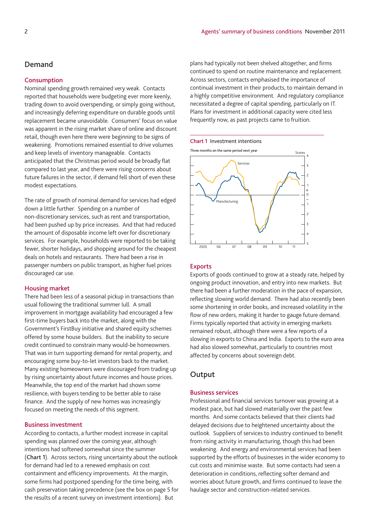## **Demand**

#### **Consumption**

Nominal spending growth remained very weak. Contacts reported that households were budgeting ever more keenly, trading down to avoid overspending, or simply going without, and increasingly deferring expenditure on durable goods until replacement became unavoidable. Consumers' focus on value was apparent in the rising market share of online and discount retail, though even here there were beginning to be signs of weakening. Promotions remained essential to drive volumes and keep levels of inventory manageable. Contacts anticipated that the Christmas period would be broadly flat compared to last year, and there were rising concerns about future failures in the sector, if demand fell short of even these modest expectations.

The rate of growth of nominal demand for services had edged down a little further. Spending on a number of non-discretionary services, such as rent and transportation, had been pushed up by price increases. And that had reduced the amount of disposable income left over for discretionary services. For example, households were reported to be taking fewer, shorter holidays, and shopping around for the cheapest deals on hotels and restaurants. There had been a rise in passenger numbers on public transport, as higher fuel prices discouraged car use.

## **Housing market**

There had been less of a seasonal pickup in transactions than usual following the traditional summer lull. A small improvement in mortgage availability had encouraged a few first-time buyers back into the market, along with the Government's FirstBuy initiative and shared equity schemes offered by some house builders. But the inability to secure credit continued to constrain many would-be homeowners. That was in turn supporting demand for rental property, and encouraging some buy-to-let investors back to the market. Many existing homeowners were discouraged from trading up by rising uncertainty about future incomes and house prices. Meanwhile, the top end of the market had shown some resilience, with buyers tending to be better able to raise finance. And the supply of new homes was increasingly focused on meeting the needs of this segment.

## **Business investment**

According to contacts, a further modest increase in capital spending was planned over the coming year, although intentions had softened somewhat since the summer (**Chart 1**). Across sectors, rising uncertainty about the outlook for demand had led to a renewed emphasis on cost containment and efficiency improvements. At the margin, some firms had postponed spending for the time being, with cash preservation taking precedence (see the box on page 5 for the results of a recent survey on investment intentions). But

plans had typically not been shelved altogether, and firms continued to spend on routine maintenance and replacement. Across sectors, contacts emphasised the importance of continual investment in their products, to maintain demand in a highly competitive environment. And regulatory compliance necessitated a degree of capital spending, particularly on IT. Plans for investment in additional capacity were cited less frequently now, as past projects came to fruition.

#### **Chart 1** Investment intentions



#### **Exports**

Exports of goods continued to grow at a steady rate, helped by ongoing product innovation, and entry into new markets. But there had been a further moderation in the pace of expansion, reflecting slowing world demand. There had also recently been some shortening in order books, and increased volatility in the flow of new orders, making it harder to gauge future demand. Firms typically reported that activity in emerging markets remained robust, although there were a few reports of a slowing in exports to China and India. Exports to the euro area had also slowed somewhat, particularly to countries most affected by concerns about sovereign debt.

## **Output**

## **Business services**

Professional and financial services turnover was growing at a modest pace, but had slowed materially over the past few months. And some contacts believed that their clients had delayed decisions due to heightened uncertainty about the outlook. Suppliers of services to industry continued to benefit from rising activity in manufacturing, though this had been weakening. And energy and environmental services had been supported by the efforts of businesses in the wider economy to cut costs and minimise waste. But some contacts had seen a deterioration in conditions, reflecting softer demand and worries about future growth, and firms continued to leave the haulage sector and construction-related services.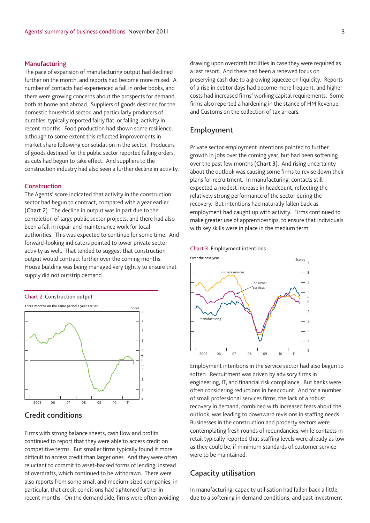## **Manufacturing**

The pace of expansion of manufacturing output had declined further on the month, and reports had become more mixed. A number of contacts had experienced a fall in order books, and there were growing concerns about the prospects for demand, both at home and abroad. Suppliers of goods destined for the domestic household sector, and particularly producers of durables, typically reported fairly flat, or falling, activity in recent months. Food production had shown some resilience, although to some extent this reflected improvements in market share following consolidation in the sector. Producers of goods destined for the public sector reported falling orders, as cuts had begun to take effect. And suppliers to the construction industry had also seen a further decline in activity.

#### **Construction**

The Agents' score indicated that activity in the construction sector had begun to contract, compared with a year earlier (**Chart 2**). The decline in output was in part due to the completion of large public sector projects, and there had also been a fall in repair and maintenance work for local authorities. This was expected to continue for some time. And forward-looking indicators pointed to lower private sector activity as well. That tended to suggest that construction output would contract further over the coming months. House building was being managed very tightly to ensure that supply did not outstrip demand.





## **Credit conditions**

Firms with strong balance sheets, cash flow and profits continued to report that they were able to access credit on competitive terms. But smaller firms typically found it more difficult to access credit than larger ones. And they were often reluctant to commit to asset-backed forms of lending, instead of overdrafts, which continued to be withdrawn. There were also reports from some small and medium-sized companies, in particular, that credit conditions had tightened further in recent months. On the demand side, firms were often avoiding drawing upon overdraft facilities in case they were required as a last resort. And there had been a renewed focus on preserving cash due to a growing squeeze on liquidity. Reports of a rise in debtor days had become more frequent, and higher costs had increased firms' working capital requirements. Some firms also reported a hardening in the stance of HM Revenue and Customs on the collection of tax arrears.

## **Employment**

Private sector employment intentions pointed to further growth in jobs over the coming year, but had been softening over the past few months (**Chart 3**). And rising uncertainty about the outlook was causing some firms to revise down their plans for recruitment. In manufacturing, contacts still expected a modest increase in headcount, reflecting the relatively strong performance of the sector during the recovery. But intentions had naturally fallen back as employment had caught up with activity. Firms continued to make greater use of apprenticeships, to ensure that individuals with key skills were in place in the medium term.





Employment intentions in the service sector had also begun to soften. Recruitment was driven by advisory firms in engineering, IT, and financial risk compliance. But banks were often considering reductions in headcount. And for a number of small professional services firms, the lack of a robust recovery in demand, combined with increased fears about the outlook, was leading to downward revisions in staffing needs. Businesses in the construction and property sectors were contemplating fresh rounds of redundancies, while contacts in retail typically reported that staffing levels were already as low as they could be, if minimum standards of customer service were to be maintained.

## **Capacity utilisation**

In manufacturing, capacity utilisation had fallen back a little, due to a softening in demand conditions, and past investment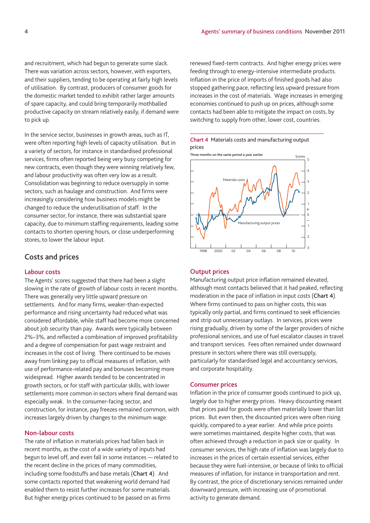and recruitment, which had begun to generate some slack. There was variation across sectors, however, with exporters, and their suppliers, tending to be operating at fairly high levels of utilisation. By contrast, producers of consumer goods for the domestic market tended to exhibit rather larger amounts of spare capacity, and could bring temporarily mothballed productive capacity on stream relatively easily, if demand were to pick up.

In the service sector, businesses in growth areas, such as IT, were often reporting high levels of capacity utilisation. But in a variety of sectors, for instance in standardised professional services, firms often reported being very busy competing for new contracts, even though they were winning relatively few, and labour productivity was often very low as a result. Consolidation was beginning to reduce oversupply in some sectors, such as haulage and construction. And firms were increasingly considering how business models might be changed to reduce the underutilisation of staff. In the consumer sector, for instance, there was substantial spare capacity, due to minimum staffing requirements, leading some contacts to shorten opening hours, or close underperforming stores, to lower the labour input.

## **Costs and prices**

## **Labour costs**

The Agents' scores suggested that there had been a slight slowing in the rate of growth of labour costs in recent months. There was generally very little upward pressure on settlements. And for many firms, weaker-than-expected performance and rising uncertainty had reduced what was considered affordable, while staff had become more concerned about job security than pay. Awards were typically between 2%–3%, and reflected a combination of improved profitability and a degree of compensation for past wage restraint and increases in the cost of living. There continued to be moves away from linking pay to official measures of inflation, with use of performance-related pay and bonuses becoming more widespread. Higher awards tended to be concentrated in growth sectors, or for staff with particular skills, with lower settlements more common in sectors where final demand was especially weak. In the consumer-facing sector, and construction, for instance, pay freezes remained common, with increases largely driven by changes to the minimum wage.

## **Non-labour costs**

The rate of inflation in materials prices had fallen back in recent months, as the cost of a wide variety of inputs had begun to level off, and even fall in some instances — related to the recent decline in the prices of many commodities, including some foodstuffs and base metals (**Chart 4**). And some contacts reported that weakening world demand had enabled them to resist further increases for some materials. But higher energy prices continued to be passed on as firms

renewed fixed-term contracts. And higher energy prices were feeding through to energy-intensive intermediate products. Inflation in the price of imports of finished goods had also stopped gathering pace, reflecting less upward pressure from increases in the cost of materials. Wage increases in emerging economies continued to push up on prices, although some contacts had been able to mitigate the impact on costs, by switching to supply from other, lower cost, countries.





#### **Output prices**

Manufacturing output price inflation remained elevated, although most contacts believed that it had peaked, reflecting moderation in the pace of inflation in input costs (**Chart 4**). Where firms continued to pass on higher costs, this was typically only partial, and firms continued to seek efficiencies and strip out unnecessary outlays. In services, prices were rising gradually, driven by some of the larger providers of niche professional services, and use of fuel escalator clauses in travel and transport services. Fees often remained under downward pressure in sectors where there was still oversupply, particularly for standardised legal and accountancy services, and corporate hospitality.

#### **Consumer prices**

Inflation in the price of consumer goods continued to pick up, largely due to higher energy prices. Heavy discounting meant that prices paid for goods were often materially lower than list prices. But even then, the discounted prices were often rising quickly, compared to a year earlier. And while price points were sometimes maintained, despite higher costs, that was often achieved through a reduction in pack size or quality. In consumer services, the high rate of inflation was largely due to increases in the prices of certain essential services, either because they were fuel-intensive, or because of links to official measures of inflation, for instance in transportation and rent. By contrast, the price of discretionary services remained under downward pressure, with increasing use of promotional activity to generate demand.